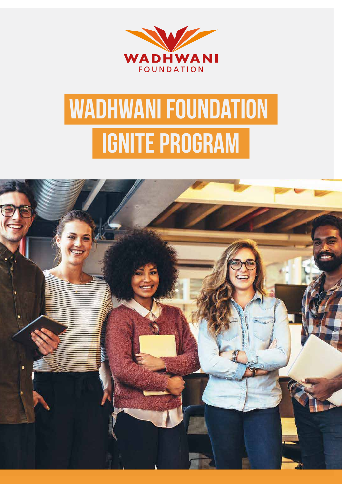

# **IGNITE Program Wadhwani Foundation**

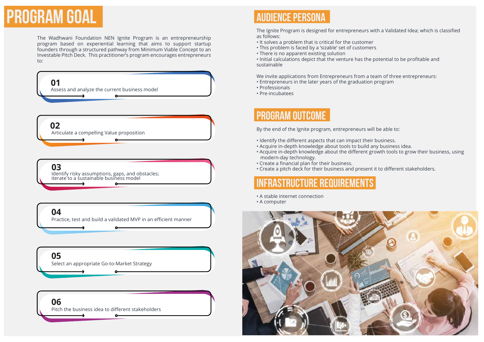

The Wadhwani Foundation NEN Ignite Program is an entrepreneurship program based on experiential learning that aims to support startup founders through a structured pathway from Minimum Viable Concept to an Investable Pitch Deck. This practitioner's program encourages entrepreneurs to:

- It solves a problem that is critical for the customer
- This problem is faced by a 'sizable' set of customers
- There is no apparent existing solution

The Ignite Program is designed for entrepreneurs with a Validated Idea; which is classified as follows:

• Initial calculations depict that the venture has the potential to be profitable and sustainable

We invite applications from Entrepreneurs from a team of three entrepreneurs: • Entrepreneurs in the later years of the graduation program

- 
- Professionals
- Pre-incubatees

### **AUDIENCE PERSONA**

By the end of the Ignite program, entrepreneurs will be able to:

- Identify the different aspects that can impact their business.
- Acquire in-depth knowledge about tools to build any business idea.
- Acquire in-depth knowledge about the different growth tools to grow their business, using modern-day technology.
- Create a financial plan for their business.
- Create a pitch deck for their business and present it to different stakeholders.

### **PROGRAM OUTCOME**

- A stable internet connection
- A computer





### **infrastructure requirements**

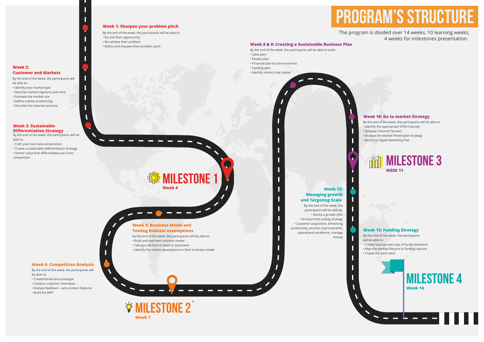**Week 4**

*<u>Stemultestone</u>* **1** 

- By the end of the week, the participants will be able to:
- Re-visit their opportunity
- Re-validate their problem
- Refine and sharpen their problem pitch



#### **Week 1: Sharpen your problem pitch**



## **Program's structure**

By the end of the week, the participants will be able to:

- Identify your market type
- Describe market segment and niche
- Estimate the market size
- Define market postitioning
- Describe the cutomer persona

#### \_ <u>т т</u> <u>та на селото на селото на селото на селото на селото на селото на селото на селото на селото на селото на сел</u> **Week 5: Business Model and**

#### **Week 2: Customer and Markets**

By the end of the week, the participants will be able to:

• Craft your core value proposition

- Create a sustainable differentiation strategy
- Deliver value that differentiates you from
- competition

#### **Week 3: Sustainable Differentiation Strategy**

By the end of the week, the participants will be able to: • Build and test their business model • Taking a decision to pivot or persevere

• Identify the riskiest assumptions in their business model

### **Testing Riskiest assumptions**

By the end of the week, the participants will be able to:

- Create/Iterate the prototype
- Conduct customer interviews
- Analyse feedback rank product features
- Build the MVP

### **Week 6: Competition Analysis**



- By the end of the week, the participants will be able to: • Identify the appropriate GTM channels
- Develop Channel Partners
- Analyse the Market Penetration Strategy
- Build the Digital Marketing Plan

### **Week 10: Go to market Strategy**

- By the end of the week, the participants will be able to:
- Create Sources and uses of funds statement • Map the startup lifecycle to funding options • Create the pitch deck

### **Week 13: Funding Strategy**

By the end of the week, the participants will be able to: • Devise a growth plan • Structure the scaling strategy • Customer acquisition, enhancing productivity, process improvements, operational excellence, manage money

### **Week 12: Managing growth and Targeting Scale**

- By the end of the week, the participants will be able to build:
- Sales plan
- People plan
- Financial plan & unit economics
- Funding plan
- Identify metrics that matter



#### **Week 8 & 9: Creating a Sustainable Business Plan**

The program is divided over 14 weeks; 10 learning weeks, 4 weeks for milestones presentation.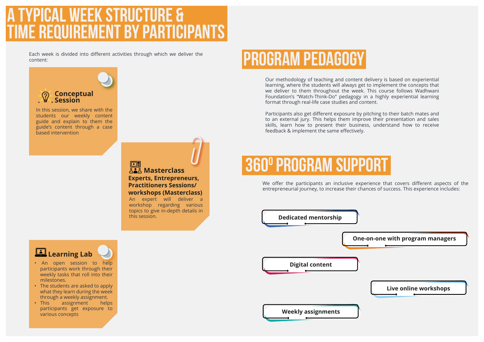## **CAL WEEK STRUCTURE & time requirement by participants**

## **360o program support**

### **Conceptual Session**



**One-on-one with program managers**

### **Live online workshops**

**Weekly assignments**

In this session, we share with the students our weekly content guide and explain to them the guide's content through a case based intervention

Each week is divided into different activities through which we deliver the content:

> We offer the participants an inclusive experience that covers different aspects of the entrepreneurial journey, to increase their chances of success. This experience includes:

## **Program Pedagogy**

Our methodology of teaching and content delivery is based on experiential learning, where the students will always get to implement the concepts that we deliver to them throughout the week. This course follows Wadhwani Foundation's "Watch-Think-Do" pedagogy in a highly experiential learning format through real-life case studies and content.

### $\boxed{\square}$ **Masterclass Experts, Entrepreneurs, Practitioners Sessions/ workshops (Masterclass)**

Participants also get different exposure by pitching to their batch mates and to an external jury. This helps them improve their presentation and sales skills, learn how to present their business, understand how to receive feedback & implement the same effectively.

- An open session to help participants work through their weekly tasks that roll into their milestones.
- The students are asked to apply what they learn during the week through a weekly assignment.
- This assignment helps participants get exposure to various concepts





### **Learning Lab**

An expert will deliver a workshop regarding various topics to give in-depth details in this session.